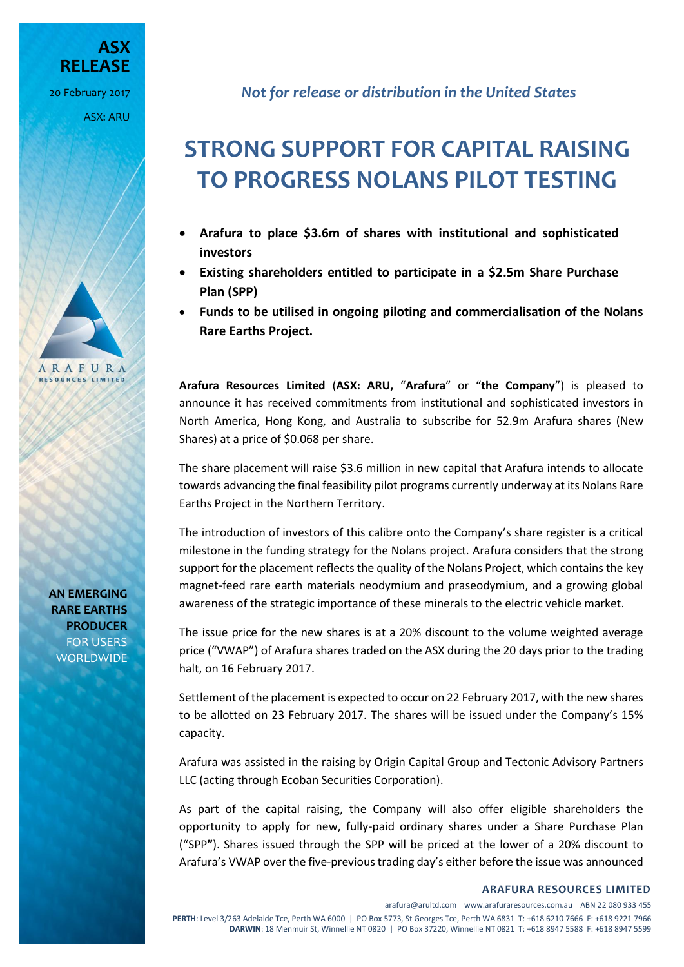20 February 2017 ASX: ARU

**RELEASE**

**ASX** 

ARAFURA **RESOURCES LIMITED** 

> **AN EMERGING RARE EARTHS PRODUCER** FOR USERS WORLDWIDE

*Not for release or distribution in the United States*

# **STRONG SUPPORT FOR CAPITAL RAISING TO PROGRESS NOLANS PILOT TESTING**

- **Arafura to place \$3.6m of shares with institutional and sophisticated investors**
- **Existing shareholders entitled to participate in a \$2.5m Share Purchase Plan (SPP)**
- **Funds to be utilised in ongoing piloting and commercialisation of the Nolans Rare Earths Project.**

**Arafura Resources Limited** (**ASX: ARU,** "**Arafura**" or "**the Company**") is pleased to announce it has received commitments from institutional and sophisticated investors in North America, Hong Kong, and Australia to subscribe for 52.9m Arafura shares (New Shares) at a price of \$0.068 per share.

The share placement will raise \$3.6 million in new capital that Arafura intends to allocate towards advancing the final feasibility pilot programs currently underway at its Nolans Rare Earths Project in the Northern Territory.

The introduction of investors of this calibre onto the Company's share register is a critical milestone in the funding strategy for the Nolans project. Arafura considers that the strong support for the placement reflects the quality of the Nolans Project, which contains the key magnet-feed rare earth materials neodymium and praseodymium, and a growing global awareness of the strategic importance of these minerals to the electric vehicle market.

The issue price for the new shares is at a 20% discount to the volume weighted average price ("VWAP") of Arafura shares traded on the ASX during the 20 days prior to the trading halt, on 16 February 2017.

Settlement of the placement is expected to occur on 22 February 2017, with the new shares to be allotted on 23 February 2017. The shares will be issued under the Company's 15% capacity.

Arafura was assisted in the raising by Origin Capital Group and Tectonic Advisory Partners LLC (acting through Ecoban Securities Corporation).

As part of the capital raising, the Company will also offer eligible shareholders the opportunity to apply for new, fully-paid ordinary shares under a Share Purchase Plan ("SPP**"**). Shares issued through the SPP will be priced at the lower of a 20% discount to Arafura's VWAP over the five-previoustrading day's either before the issue was announced

#### **ARAFURA RESOURCES LIMITED**

arafura@arultd.com www.arafuraresources.com.au ABN 22 080 933 455 **PERTH**: Level 3/263 Adelaide Tce, Perth WA 6000 | PO Box 5773, St Georges Tce, Perth WA 6831 T: +618 6210 7666 F: +618 9221 7966 **DARWIN**: 18 Menmuir St, Winnellie NT 0820 | PO Box 37220, Winnellie NT 0821 T: +618 8947 5588 F: +618 8947 5599